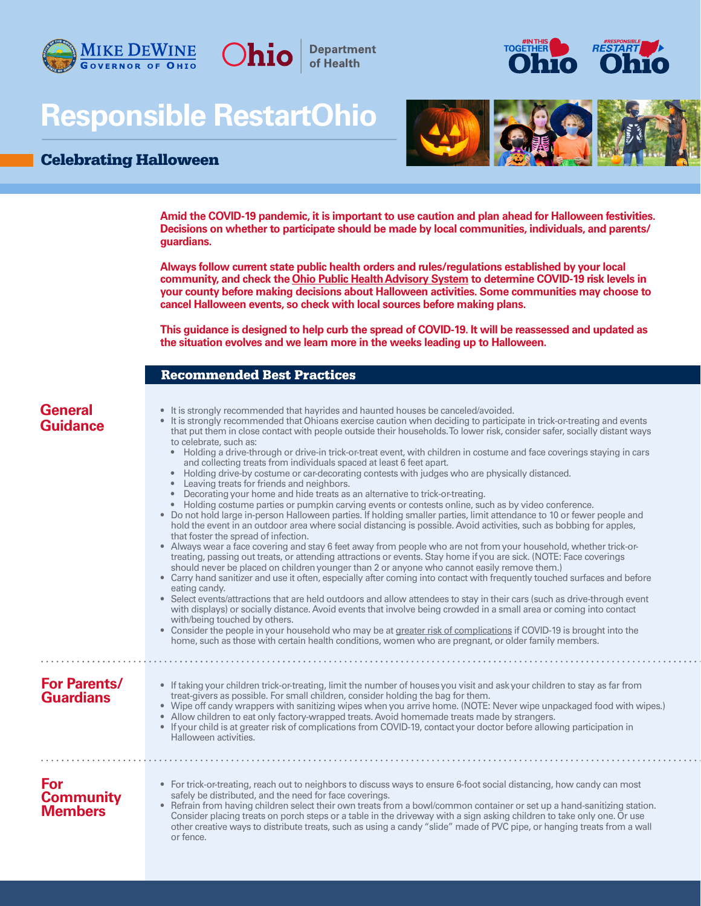

# **Responsible RestartOhio**

## Celebrating Halloween





**Amid the COVID-19 pandemic, it is important to use caution and plan ahead for Halloween festivities. Decisions on whether to participate should be made by local communities, individuals, and parents/ guardians.** 

**Department** of Health

**Always follow current state public health orders and rules/regulations established by your local community, and check the [Ohio Public Health Advisory System](https://coronavirus.ohio.gov/wps/portal/gov/covid-19/public-health-advisory-system/) to determine COVID-19 risk levels in your county before making decisions about Halloween activities. Some communities may choose to cancel Halloween events, so check with local sources before making plans.**

**This guidance is designed to help curb the spread of COVID-19. It will be reassessed and updated as the situation evolves and we learn more in the weeks leading up to Halloween.**

#### Recommended Best Practices

| <b>General</b><br><b>Guidance</b>         | • It is strongly recommended that hayrides and haunted houses be canceled/avoided.<br>• It is strongly recommended that Ohioans exercise caution when deciding to participate in trick-or-treating and events<br>that put them in close contact with people outside their households. To lower risk, consider safer, socially distant ways<br>to celebrate, such as:<br>Holding a drive-through or drive-in trick-or-treat event, with children in costume and face coverings staying in cars<br>$\bullet$<br>and collecting treats from individuals spaced at least 6 feet apart.<br>Holding drive-by costume or car-decorating contests with judges who are physically distanced.<br>$\bullet$<br>Leaving treats for friends and neighbors.<br>$\bullet$<br>Decorating your home and hide treats as an alternative to trick-or-treating.<br>$\bullet$<br>• Holding costume parties or pumpkin carving events or contests online, such as by video conference.<br>• Do not hold large in-person Halloween parties. If holding smaller parties, limit attendance to 10 or fewer people and<br>hold the event in an outdoor area where social distancing is possible. Avoid activities, such as bobbing for apples,<br>that foster the spread of infection.<br>• Always wear a face covering and stay 6 feet away from people who are not from your household, whether trick-or-<br>treating, passing out treats, or attending attractions or events. Stay home if you are sick. (NOTE: Face coverings<br>should never be placed on children younger than 2 or anyone who cannot easily remove them.)<br>• Carry hand sanitizer and use it often, especially after coming into contact with frequently touched surfaces and before<br>eating candy.<br>• Select events/attractions that are held outdoors and allow attendees to stay in their cars (such as drive-through event<br>with displays) or socially distance. Avoid events that involve being crowded in a small area or coming into contact<br>with/being touched by others.<br>• Consider the people in your household who may be at greater risk of complications if COVID-19 is brought into the<br>home, such as those with certain health conditions, women who are pregnant, or older family members. |
|-------------------------------------------|------------------------------------------------------------------------------------------------------------------------------------------------------------------------------------------------------------------------------------------------------------------------------------------------------------------------------------------------------------------------------------------------------------------------------------------------------------------------------------------------------------------------------------------------------------------------------------------------------------------------------------------------------------------------------------------------------------------------------------------------------------------------------------------------------------------------------------------------------------------------------------------------------------------------------------------------------------------------------------------------------------------------------------------------------------------------------------------------------------------------------------------------------------------------------------------------------------------------------------------------------------------------------------------------------------------------------------------------------------------------------------------------------------------------------------------------------------------------------------------------------------------------------------------------------------------------------------------------------------------------------------------------------------------------------------------------------------------------------------------------------------------------------------------------------------------------------------------------------------------------------------------------------------------------------------------------------------------------------------------------------------------------------------------------------------------------------------------------------------------------------------------------------------------------------------------------------------------------------------------------------------------------|
| <b>For Parents/</b><br><b>Guardians</b>   | • If taking your children trick-or-treating, limit the number of houses you visit and ask your children to stay as far from<br>treat-givers as possible. For small children, consider holding the bag for them.<br>• Wipe off candy wrappers with sanitizing wipes when you arrive home. (NOTE: Never wipe unpackaged food with wipes.)<br>• Allow children to eat only factory-wrapped treats. Avoid homemade treats made by strangers.<br>• If your child is at greater risk of complications from COVID-19, contact your doctor before allowing participation in<br>Halloween activities.                                                                                                                                                                                                                                                                                                                                                                                                                                                                                                                                                                                                                                                                                                                                                                                                                                                                                                                                                                                                                                                                                                                                                                                                                                                                                                                                                                                                                                                                                                                                                                                                                                                                           |
| For<br><b>Community</b><br><b>Members</b> | • For trick-or-treating, reach out to neighbors to discuss ways to ensure 6-foot social distancing, how candy can most<br>safely be distributed, and the need for face coverings.<br>• Refrain from having children select their own treats from a bowl/common container or set up a hand-sanitizing station.<br>Consider placing treats on porch steps or a table in the driveway with a sign asking children to take only one. Or use<br>other creative ways to distribute treats, such as using a candy "slide" made of PVC pipe, or hanging treats from a wall<br>or fence.                                                                                                                                                                                                                                                                                                                                                                                                                                                                                                                                                                                                                                                                                                                                                                                                                                                                                                                                                                                                                                                                                                                                                                                                                                                                                                                                                                                                                                                                                                                                                                                                                                                                                        |